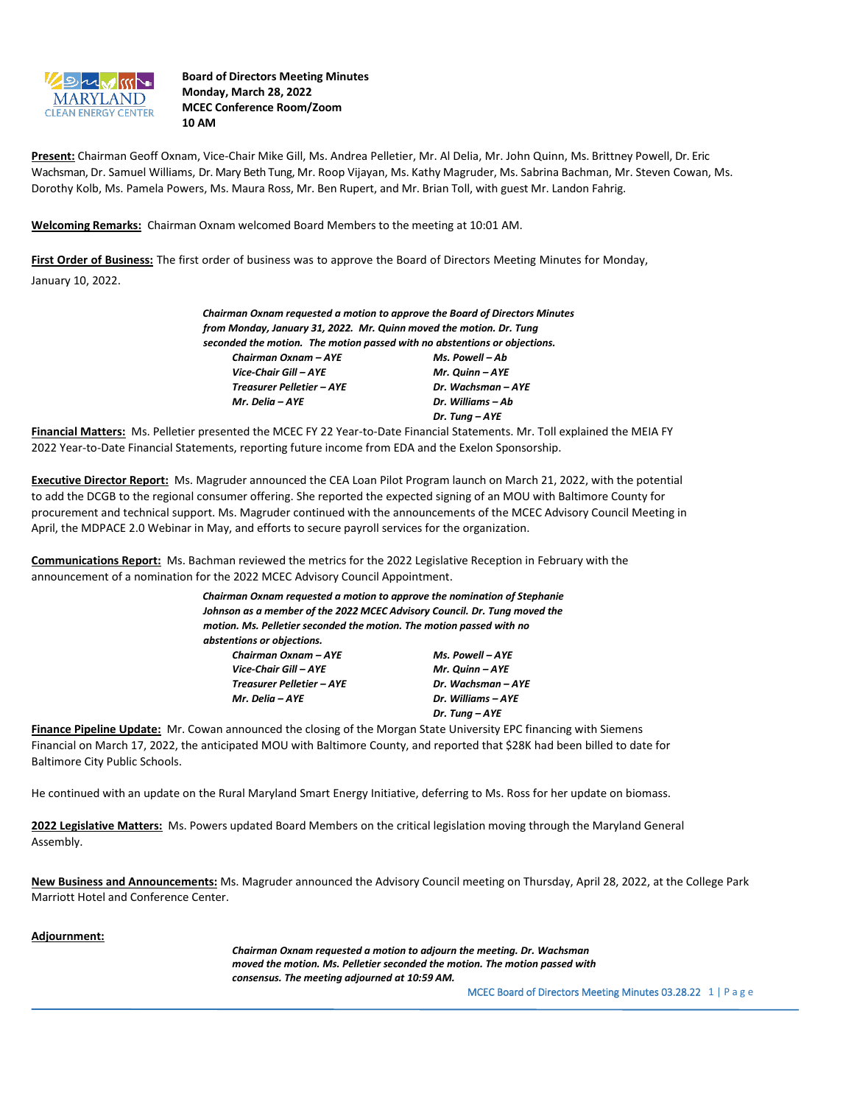

**Board of Directors Meeting Minutes Monday, March 28, 2022 MCEC Conference Room/Zoom 10 AM**

**Present:** Chairman Geoff Oxnam, Vice-Chair Mike Gill, Ms. Andrea Pelletier, Mr. Al Delia, Mr. John Quinn, Ms. Brittney Powell, Dr. Eric Wachsman, Dr. Samuel Williams, Dr. Mary Beth Tung, Mr. Roop Vijayan, Ms. Kathy Magruder, Ms. Sabrina Bachman, Mr. Steven Cowan, Ms. Dorothy Kolb, Ms. Pamela Powers, Ms. Maura Ross, Mr. Ben Rupert, and Mr. Brian Toll, with guest Mr. Landon Fahrig.

**Welcoming Remarks:** Chairman Oxnam welcomed Board Members to the meeting at 10:01 AM.

**First Order of Business:** The first order of business was to approve the Board of Directors Meeting Minutes for Monday, January 10, 2022.

| Chairman Oxnam requested a motion to approve the Board of Directors Minutes |                    |
|-----------------------------------------------------------------------------|--------------------|
| from Monday, January 31, 2022. Mr. Quinn moved the motion. Dr. Tung         |                    |
| seconded the motion. The motion passed with no abstentions or objections.   |                    |
| Chairman Oxnam - AYE                                                        | Ms. Powell - Ab    |
| Vice-Chair Gill – AYE                                                       | Mr. Quinn - AYE    |
| <b>Treasurer Pelletier - AYE</b>                                            | Dr. Wachsman - AYE |
| Mr. Delia – AYE                                                             | Dr. Williams - Ab  |
|                                                                             | Dr. Tung - AYE     |

**Financial Matters:** Ms. Pelletier presented the MCEC FY 22 Year-to-Date Financial Statements. Mr. Toll explained the MEIA FY 2022 Year-to-Date Financial Statements, reporting future income from EDA and the Exelon Sponsorship.

**Executive Director Report:** Ms. Magruder announced the CEA Loan Pilot Program launch on March 21, 2022, with the potential to add the DCGB to the regional consumer offering. She reported the expected signing of an MOU with Baltimore County for procurement and technical support. Ms. Magruder continued with the announcements of the MCEC Advisory Council Meeting in April, the MDPACE 2.0 Webinar in May, and efforts to secure payroll services for the organization.

**Communications Report:** Ms. Bachman reviewed the metrics for the 2022 Legislative Reception in February with the announcement of a nomination for the 2022 MCEC Advisory Council Appointment.

| Chairman Oxnam requested a motion to approve the nomination of Stephanie  |                    |
|---------------------------------------------------------------------------|--------------------|
| Johnson as a member of the 2022 MCEC Advisory Council. Dr. Tung moved the |                    |
| motion. Ms. Pelletier seconded the motion. The motion passed with no      |                    |
| abstentions or objections.                                                |                    |
| Chairman Oxnam - AYE                                                      | Ms. Powell - AYE   |
| Vice-Chair Gill – AYE                                                     | Mr. Quinn - AYE    |
| Treasurer Pelletier – AYE                                                 | Dr. Wachsman - AYE |
| Mr. Delia – AYE                                                           | Dr. Williams - AYE |
|                                                                           | Dr. Tung – AYE     |

**Finance Pipeline Update:** Mr. Cowan announced the closing of the Morgan State University EPC financing with Siemens Financial on March 17, 2022, the anticipated MOU with Baltimore County, and reported that \$28K had been billed to date for Baltimore City Public Schools.

He continued with an update on the Rural Maryland Smart Energy Initiative, deferring to Ms. Ross for her update on biomass.

**2022 Legislative Matters:** Ms. Powers updated Board Members on the critical legislation moving through the Maryland General Assembly.

**New Business and Announcements:** Ms. Magruder announced the Advisory Council meeting on Thursday, April 28, 2022, at the College Park Marriott Hotel and Conference Center.

## **Adjournment:**

*Chairman Oxnam requested a motion to adjourn the meeting. Dr. Wachsman moved the motion. Ms. Pelletier seconded the motion. The motion passed with consensus. The meeting adjourned at 10:59 AM.*

MCEC Board of Directors Meeting Minutes 03.28.22 1 | P a g e